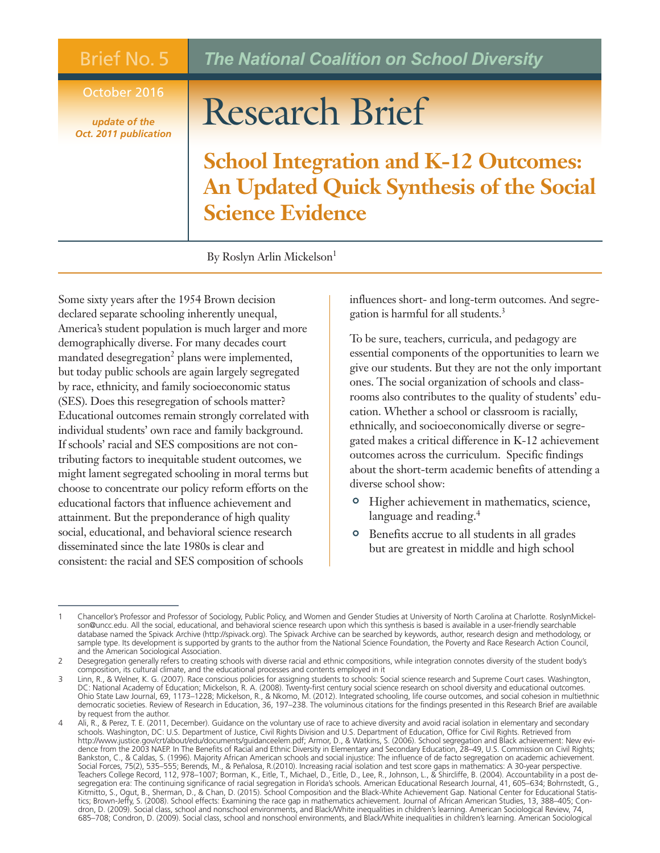## Brief No. 5

## October 2016

*update of the Oct. 2011 publication*

## *The National Coalition on School Diversity*

## Research Brief

**School Integration and K-12 Outcomes: An Updated Quick Synthesis of the Social Science Evidence**

By Roslyn Arlin Mickelson<sup>1</sup>

Some sixty years after the 1954 Brown decision declared separate schooling inherently unequal, America's student population is much larger and more demographically diverse. For many decades court mandated desegregation<sup>2</sup> plans were implemented, but today public schools are again largely segregated by race, ethnicity, and family socioeconomic status (SES). Does this resegregation of schools matter? Educational outcomes remain strongly correlated with individual students' own race and family background. If schools' racial and SES compositions are not contributing factors to inequitable student outcomes, we might lament segregated schooling in moral terms but choose to concentrate our policy reform efforts on the educational factors that influence achievement and attainment. But the preponderance of high quality social, educational, and behavioral science research disseminated since the late 1980s is clear and consistent: the racial and SES composition of schools

influences short- and long-term outcomes. And segregation is harmful for all students. 3

To be sure, teachers, curricula, and pedagogy are essential components of the opportunities to learn we give our students. But they are not the only important ones. The social organization of schools and classrooms also contributes to the quality of students' education. Whether a school or classroom is racially, ethnically, and socioeconomically diverse or segregated makes a critical difference in K-12 achievement outcomes across the curriculum. Specific findings about the short-term academic benefits of attending a diverse school show:

- <sup>o</sup> Higher achievement in mathematics, science, language and reading. 4
- ' Benefits accrue to all students in all grades but are greatest in middle and high school

<sup>1</sup> Chancellor's Professor and Professor of Sociology, Public Policy, and Women and Gender Studies at University of North Carolina at Charlotte. RoslynMickelson@uncc.edu. All the social, educational, and behavioral science research upon which this synthesis is based is available in a user-friendly searchable database named the Spivack Archive (http://spivack.org). The Spivack Archive can be searched by keywords, author, research design and methodology, or sample type. Its development is supported by grants to the author from the National Science Foundation, the Poverty and Race Research Action Council, and the American Sociological Association.

<sup>2</sup> Desegregation generally refers to creating schools with diverse racial and ethnic compositions, while integration connotes diversity of the student body's composition, its cultural climate, and the educational processes and contents employed in it

<sup>3</sup> Linn, R., & Welner, K. G. (2007). Race conscious policies for assigning students to schools: Social science research and Supreme Court cases. Washington, DC: National Academy of Education; Mickelson, R. A. (2008). Twenty-first century social science research on school diversity and educational outcomes. Ohio State Law Journal, 69, 1173–1228; Mickelson, R., & Nkomo, M. (2012). Integrated schooling, life course outcomes, and social cohesion in multiethnic democratic societies. Review of Research in Education, 36, 197–238. The voluminous citations for the findings presented in this Research Brief are available by request from the author.

<sup>4</sup> Ali, R., & Perez, T. E. (2011, December). Guidance on the voluntary use of race to achieve diversity and avoid racial isolation in elementary and secondary schools. Washington, DC: U.S. Department of Justice, Civil Rights Division and U.S. Department of Education, Office for Civil Rights. Retrieved from http://www.justice.gov/crt/about/edu/documents/guidanceelem.pdf; Armor, D., & Watkins, S. (2006). School segregation and Black achievement: New evidence from the 2003 NAEP. In The Benefits of Racial and Ethnic Diversity in Elementary and Secondary Education, 28–49, U.S. Commission on Civil Rights; Bankston, C., & Caldas, S. (1996). Majority African American schools and social injustice: The influence of de facto segregation on academic achievement. Social Forces, 75(2), 535–555; Berends, M., & Peñalosa, R.(2010). Increasing racial isolation and test score gaps in mathematics: A 30-year perspective. Teachers College Record, 112, 978–1007; Borman, K., Eitle, T., Michael, D., Eitle, D., Lee, R., Johnson, L., & Shircliffe, B. (2004). Accountability in a post desegregation era: The continuing significance of racial segregation in Florida's schools. American Educational Research Journal, 41, 605–634; Bohrnstedt, G., Kitmitto, S., Ogut, B., Sherman, D., & Chan, D. (2015). School Composition and the Black-White Achievement Gap. National Center for Educational Statistics; Brown-Jeffy, S. (2008). School effects: Examining the race gap in mathematics achievement. Journal of African American Studies, 13, 388–405; Condron, D. (2009). Social class, school and nonschool environments, and Black/White inequalities in children's learning. American Sociological Review, 74, 685–708; Condron, D. (2009). Social class, school and nonschool environments, and Black/White inequalities in children's learning. American Sociological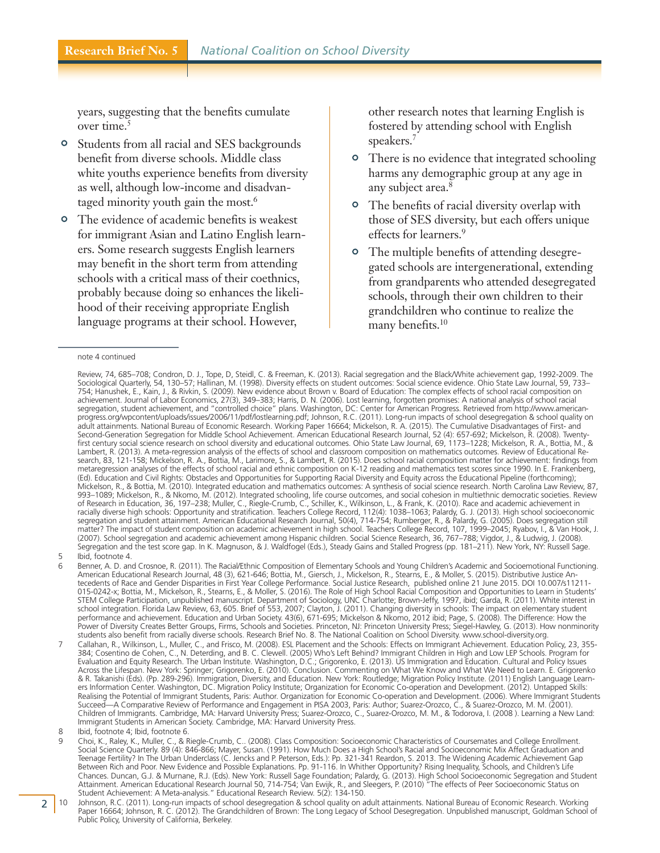years, suggesting that the benefits cumulate over time. 5

- ' Students from all racial and SES backgrounds benefit from diverse schools. Middle class white youths experience benefits from diversity as well, although low-income and disadvantaged minority youth gain the most. 6
- <sup>o</sup> The evidence of academic benefits is weakest for immigrant Asian and Latino English learners. Some research suggests English learners may benefit in the short term from attending schools with a critical mass of their coethnics, probably because doing so enhances the likelihood of their receiving appropriate English language programs at their school. However,

other research notes that learning English is fostered by attending school with English speakers. 7

- <sup>o</sup> There is no evidence that integrated schooling harms any demographic group at any age in any subject area. 8
- <sup>o</sup> The benefits of racial diversity overlap with those of SES diversity, but each offers unique effects for learners. 9
- <sup>o</sup> The multiple benefits of attending desegregated schools are intergenerational, extending from grandparents who attended desegregated schools, through their own children to their grandchildren who continue to realize the many benefits. 10

note 4 continued

5 Ibid, footnote 4.

Review, 74, 685–708; Condron, D. J., Tope, D, Steidl, C. & Freeman, K. (2013). Racial segregation and the Black/White achievement gap, 1992-2009. The Sociological Quarterly, 54, 130–57; Hallinan, M. (1998). Diversity effects on student outcomes: Social science evidence. Ohio State Law Journal, 59, 733– 754; Hanushek, E., Kain, J., & Rivkin, S. (2009). New evidence about Brown v. Board of Education: The complex effects of school racial composition on achievement. Journal of Labor Economics, 27(3), 349–383; Harris, D. N. (2006). Lost learning, forgotten promises: A national analysis of school racial segregation, student achievement, and "controlled choice" plans. Washington, DC: Center for American Progress. Retrieved from http://www.americanprogress.org/wpcontent/uploads/issues/2006/11/pdf/lostlearning.pdf; Johnson, R.C. (2011). Long-run impacts of school desegregation & school quality on adult attainments. National Bureau of Economic Research. Working Paper 16664; Mickelson, R. A. (2015). The Cumulative Disadvantages of First- and Second-Generation Segregation for Middle School Achievement. American Educational Research Journal, 52 (4): 657-692; Mickelson, R. (2008). Twentyfirst century social science research on school diversity and educational outcomes. Ohio State Law Journal, 69, 1173–1228; Mickelson, R. A., Bottia, M., & Lambert, R. (2013). A meta-regression analysis of the effects of school and classroom composition on mathematics outcomes. Review of Educational Research, 83, 121-158; Mickelson, R. A., Bottia, M., Larimore, S., & Lambert, R. (2015). Does school racial composition matter for achievement: findings from metaregression analyses of the effects of school racial and ethnic composition on K-12 reading and mathematics test scores since 1990. In E. Frankenberg, (Ed). Education and Civil Rights: Obstacles and Opportunities for Supporting Racial Diversity and Equity across the Educational Pipeline (forthcoming); Mickelson, R., & Bottia, M. (2010). Integrated education and mathematics outcomes: A synthesis of social science research. North Carolina Law Review, 87, 993–1089; Mickelson, R., & Nkomo, M. (2012). Integrated schooling, life course outcomes, and social cohesion in multiethnic democratic societies. Review of Research in Education, 36, 197–238; Muller, C., Riegle-Crumb, C., Schiller, K., Wilkinson, L., & Frank, K. (2010). Race and academic achievement in racially diverse high schools: Opportunity and stratification. Teachers College Record, 112(4): 1038–1063; Palardy, G. J. (2013). High school socioeconomic segregation and student attainment. American Educational Research Journal, 50(4), 714-754; Rumberger, R., & Palardy, G. (2005). Does segregation still matter? The impact of student composition on academic achievement in high school. Teachers College Record, 107, 1999–2045; Ryabov, I., & Van Hook, J. (2007). School segregation and academic achievement among Hispanic children. Social Science Research, 36, 767–788; Vigdor, J., & Ludwig, J. (2008). Segregation and the test score gap. In K. Magnuson, & J. Waldfogel (Eds.), Steady Gains and Stalled Progress (pp. 181–211). New York, NY: Russell Sage.

<sup>6</sup> Benner, A. D. and Crosnoe, R. (2011). The Racial/Ethnic Composition of Elementary Schools and Young Children's Academic and Socioemotional Functioning. American Educational Research Journal, 48 (3), 621-646; Bottia, M., Giersch, J., Mickelson, R., Stearns, E., & Moller, S. (2015). Distributive Justice Antecedents of Race and Gender Disparities in First Year College Performance. Social Justice Research, published online 21 June 2015. DOI 10.007/s11211- 015-0242-x; Bottia, M., Mickelson, R., Stearns, E., & Moller, S. (2016). The Role of High School Racial Composition and Opportunities to Learn in Students' STEM College Participation, unpublished manuscript. Department of Sociology, UNC Charlotte; Brown-Jeffy, 1997, ibid; Garda, R. (2011). White interest in school integration. Florida Law Review, 63, 605. Brief of 553, 2007; Clayton, J. (2011). Changing diversity in schools: The impact on elementary student performance and achievement. Education and Urban Society. 43(6), 671-695; Mickelson & Nkomo, 2012 ibid; Page, S. (2008). The Difference: How the Power of Diversity Creates Better Groups, Firms, Schools and Societies. Princeton, NJ: Princeton University Press; Siegel-Hawley, G. (2013). How nonminority students also benefit from racially diverse schools. Research Brief No. 8. The National Coalition on School Diversity. www.school-diversity.org.

<sup>7</sup> Callahan, R., Wilkinson, L., Muller, C., and Frisco, M. (2008). ESL Placement and the Schools: Effects on Immigrant Achievement. Education Policy, 23, 355- 384; Cosentino de Cohen, C., N. Deterding, and B. C. Clewell. (2005) Who's Left Behind? Immigrant Children in High and Low LEP Schools. Program for Evaluation and Equity Research. The Urban Institute. Washington, D.C.; Grigorenko, E. (2013). US Immigration and Education. Cultural and Policy Issues Across the Lifespan. New York: Springer; Grigorenko, E. (2010). Conclusion. Commenting on What We Know and What We Need to Learn. E. Grigorenko & R. Takanishi (Eds). (Pp. 289-296). Immigration, Diversity, and Education. New York: Routledge; Migration Policy Institute. (2011) English Language Learners Information Center. Washington, DC. Migration Policy Institute; Organization for Economic Co-operation and Development. (2012). Untapped Skills: Realising the Potential of Immigrant Students, Paris: Author. Organization for Economic Co-operation and Development. (2006). Where Immigrant Students Succeed—A Comparative Review of Performance and Engagement in PISA 2003, Paris: Author; Suarez-Orozco, C., & Suarez-Orozco, M. M. (2001). Children of Immigrants. Cambridge, MA: Harvard University Press; Suarez-Orozco, C., Suarez-Orozco, M. M., & Todorova, I. (2008 ). Learning a New Land: Immigrant Students in American Society. Cambridge, MA: Harvard University Press.

<sup>8</sup> Ibid, footnote 4; Ibid, footnote 6.

<sup>9</sup> Choi, K., Raley, K., Muller, C., & Riegle-Crumb, C.. (2008). Class Composition: Socioeconomic Characteristics of Coursemates and College Enrollment. Social Science Quarterly. 89 (4): 846-866; Mayer, Susan. (1991). How Much Does a High School's Racial and Socioeconomic Mix Affect Graduation and Teenage Fertility? In The Urban Underclass (C. Jencks and P. Peterson, Eds.): Pp. 321-341 Reardon, S. 2013. The Widening Academic Achievement Gap Between Rich and Poor. New Evidence and Possible Explanations. Pp. 91-116. In Whither Opportunity? Rising Inequality, Schools, and Children's Life Chances. Duncan, G.J. & Murnane, R.J. (Eds). New York: Russell Sage Foundation; Palardy, G. (2013). High School Socioeconomic Segregation and Student Attainment. American Educational Research Journal 50, 714-754; Van Ewijk, R., and Sleegers, P. (2010) "The effects of Peer Socioeconomic Status on Student Achievement: A Meta-analysis." Educational Research Review. 5(2): 134-150.

<sup>10</sup> Johnson, R.C. (2011). Long-run impacts of school desegregation & school quality on adult attainments. National Bureau of Economic Research. Working Paper 16664; Johnson, R. C. (2012). The Grandchildren of Brown: The Long Legacy of School Desegregation. Unpublished manuscript, Goldman School of Public Policy, University of California, Berkeley.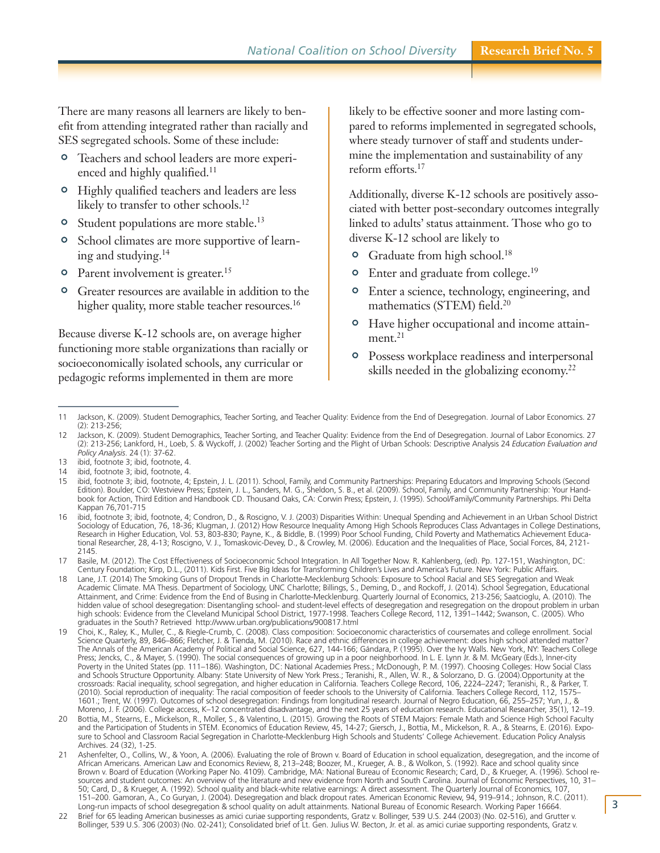There are many reasons all learners are likely to benefit from attending integrated rather than racially and SES segregated schools. Some of these include:

- ' Teachers and school leaders are more experienced and highly qualified. 11
- <sup>o</sup> Highly qualified teachers and leaders are less likely to transfer to other schools. 12
- <sup>o</sup> Student populations are more stable.<sup>13</sup>
- ' School climates are more supportive of learning and studying. 14
- <sup>o</sup> Parent involvement is greater.<sup>15</sup>
- <sup>o</sup> Greater resources are available in addition to the higher quality, more stable teacher resources.<sup>16</sup>

Because diverse K-12 schools are, on average higher functioning more stable organizations than racially or socioeconomically isolated schools, any curricular or pedagogic reforms implemented in them are more

likely to be effective sooner and more lasting compared to reforms implemented in segregated schools, where steady turnover of staff and students undermine the implementation and sustainability of any reform efforts. 17

Additionally, diverse K-12 schools are positively associated with better post-secondary outcomes integrally linked to adults' status attainment. Those who go to diverse K-12 school are likely to

- <sup>o</sup> Graduate from high school.<sup>18</sup>
- <sup>o</sup> Enter and graduate from college.<sup>19</sup>
- ' Enter a science, technology, engineering, and mathematics (STEM) field. 20
- <sup>o</sup> Have higher occupational and income attainment. 21
- ' Possess workplace readiness and interpersonal skills needed in the globalizing economy. 22

- 21 Ashenfelter, O., Collins, W., & Yoon, A. (2006). Evaluating the role of Brown v. Board of Education in school equalization, desegregation, and the income of African Americans. American Law and Economics Review, 8, 213–248; Boozer, M., Krueger, A. B., & Wolkon, S. (1992). Race and school quality since Brown v. Board of Education (Working Paper No. 4109). Cambridge, MA: National Bureau of Economic Research; Card, D., & Krueger, A. (1996). School resources and student outcomes: An overview of the literature and new evidence from North and South Carolina. Journal of Economic Perspectives, 10, 31– 50; Card, D., & Krueger, A. (1992). School quality and black-white relative earnings: A direct assessment. The Quarterly Journal of Economics, 107, 151–200. Gamoran, A., Co Guryan, J. (2004). Desegregation and black dropout rates. American Economic Review, 94, 919–914.; Johnson, R.C. (2011). Long-run impacts of school desegregation & school quality on adult attainments. National Bureau of Economic Research. Working Paper 16664.
- 22 Brief for 65 leading American businesses as amici curiae supporting respondents, Gratz v. Bollinger, 539 U.S. 244 (2003) (No. 02-516), and Grutter v. Bollinger, 539 U.S. 306 (2003) (No. 02-241); Consolidated brief of Lt. Gen. Julius W. Becton, Jr. et al. as amici curiae supporting respondents, Gratz v.

<sup>11</sup> Jackson, K. (2009). Student Demographics, Teacher Sorting, and Teacher Quality: Evidence from the End of Desegregation. Journal of Labor Economics. 27 (2): 213-256;

<sup>12</sup> Jackson, K. (2009). Student Demographics, Teacher Sorting, and Teacher Quality: Evidence from the End of Desegregation. Journal of Labor Economics. 27 (2): 213-256; Lankford, H., Loeb, S. & Wyckoff, J. (2002) Teacher Sorting and the Plight of Urban Schools: Descriptive Analysis 24 *Education Evaluation and Policy Analysis*. 24 (1): 37-62.

<sup>13</sup> ibid, footnote 3; ibid, footnote, 4.

<sup>14</sup> ibid, footnote 3; ibid, footnote, 4.

<sup>15</sup> ibid, footnote 3; ibid, footnote, 4; Epstein, J. L. (2011). School, Family, and Community Partnerships: Preparing Educators and Improving Schools (Second Edition). Boulder, CO: Westview Press; Epstein, J. L., Sanders, M. G., Sheldon, S. B., et al. (2009). School, Family, and Community Partnership: Your Handbook for Action, Third Edition and Handbook CD. Thousand Oaks, CA: Corwin Press; Epstein, J. (1995). School/Family/Community Partnerships. Phi Delta Kappan 76,701-715

<sup>16</sup> ibid, footnote 3; ibid, footnote, 4; Condron, D., & Roscigno, V. J. (2003) Disparities Within: Unequal Spending and Achievement in an Urban School District Sociology of Education, 76, 18-36; Klugman, J. (2012) How Resource Inequality Among High Schools Reproduces Class Advantages in College Destinations, Research in Higher Education, Vol. 53, 803-830; Payne, K., & Biddle, B. (1999) Poor School Funding, Child Poverty and Mathematics Achievement Educational Researcher, 28, 4-13; Roscigno, V. J., Tomaskovic-Devey, D., & Crowley, M. (2006). Education and the Inequalities of Place, Social Forces, 84, 2121- 2145.

<sup>17</sup> Basile, M. (2012). The Cost Effectiveness of Socioeconomic School Integration. In All Together Now. R. Kahlenberg, (ed). Pp. 127-151, Washington, DC: Century Foundation; Kirp, D.L., (2011). Kids First. Five Big Ideas for Transforming Children's Lives and America's Future. New York: Public Affairs.

<sup>18</sup> Lane, J.T. (2014) The Smoking Guns of Dropout Trends in Charlotte-Mecklenburg Schools: Exposure to School Racial and SES Segregation and Weak Academic Climate. MA Thesis. Department of Sociology, UNC Charlotte; Billings, S., Deming, D., and Rockoff, J. (2014). School Segregation, Educational Attainment, and Crime: Evidence from the End of Busing in Charlotte-Mecklenburg. Quarterly Journal of Economics, 213-256; Saatcioglu, A. (2010). The hidden value of school desegregation: Disentangling school- and student-level effects of desegregation and resegregation on the dropout problem in urban high schools: Evidence from the Cleveland Municipal School District, 1977-1998. Teachers College Record, 112, 1391–1442; Swanson, C. (2005). Who graduates in the South? Retrieved http://www.urban.org/publications/900817.html

<sup>19</sup> Choi, K., Raley, K., Muller, C., & Riegle-Crumb, C. (2008). Class composition: Socioeconomic characteristics of coursemates and college enrollment. Social Science Quarterly, 89, 846–866; Fletcher, J. & Tienda, M. (2010). Race and ethnic differences in college achievement: does high school attended matter? The Annals of the American Academy of Political and Social Science, 627, 144-166; Gándara, P. (1995). Over the Ivy Walls. New York, NY: Teachers College Press; Jencks, C., & Mayer, S. (1990). The social consequences of growing up in a poor neighborhood. In L. E. Lynn Jr. & M. McGeary (Eds.), Inner-city Poverty in the United States (pp. 111–186). Washington, DC: National Academies Press.; McDonough, P. M. (1997). Choosing Colleges: How Social Class and Schools Structure Opportunity. Albany: State University of New York Press.; Teranishi, R., Allen, W. R., & Solorzano, D. G. (2004).Opportunity at the crossroads: Racial inequality, school segregation, and higher education in California. Teachers College Record, 106, 2224–2247; Teranishi, R., & Parker, T. (2010). Social reproduction of inequality: The racial composition of feeder schools to the University of California. Teachers College Record, 112, 1575– 1601.; Trent, W. (1997). Outcomes of school desegregation: Findings from longitudinal research. Journal of Negro Education, 66, 255–257; Yun, J., & Moreno, J. F. (2006). College access, K–12 concentrated disadvantage, and the next 25 years of education research. Educational Researcher, 35(1), 12–19.

<sup>20</sup> Bottia, M., Stearns, E., Mickelson, R., Moller, S., & Valentino, L. (2015). Growing the Roots of STEM Majors: Female Math and Science High School Faculty and the Participation of Students in STEM. Economics of Education Review, 45, 14-27; Giersch, J., Bottia, M., Mickelson, R. A., & Stearns, E. (2016). Exposure to School and Classroom Racial Segregation in Charlotte-Mecklenburg High Schools and Students' College Achievement. Education Policy Analysis Archives. 24 (32), 1-25.